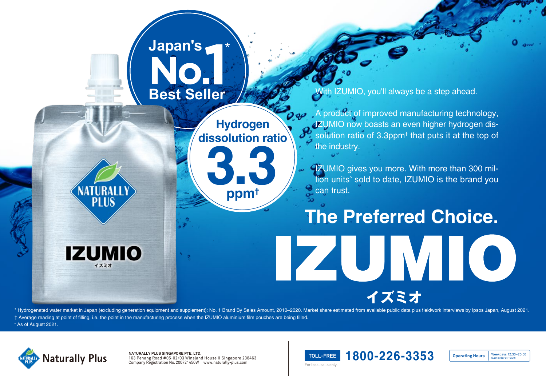## **Japan's** \***Best Seller** With IZUMIO, you'll always be a step ahead. A product of improved manufacturing technology,  $090$ **Hydrogen**  IZUMIO now boasts an even higher hydrogen dis- $\mathcal{S}$ solution ratio of 3.3ppm† that puts it at the top of **dissolution ratio 3.3** the industry. IZUMIO gives you more. With more than 300 million units^ sold to date, IZUMIO is the brand you VATURALLY can trust. **ppm† PLUS The Preferred Choice. IZUMIO** ZUWIC イズミオ イズミオ

\* Hydrogenated water market in Japan (excluding generation equipment and supplement): No. 1 Brand By Sales Amount, 2010–2020. Market share estimated from available public data plus fieldwork interviews by Ipsos Japan, Augu † Average reading at point of filling, i.e. the point in the manufacturing process when the IZUMIO aluminium film pouches are being filled.  $^{\circ}$  As of August 2021.



**NATURALLY PLUS SINGAPORE PTE. LTD.**  163 Penang Road #05-02/03 Winsland House II Singapore 238463 Company Registration No. 200721450W www.naturally-plus.com

**TOLL-FREE 1800-226-3353** For local calls only.

Weekdays 12:30~20:00<br>(Last order at 19:30)

**Operating Hours**